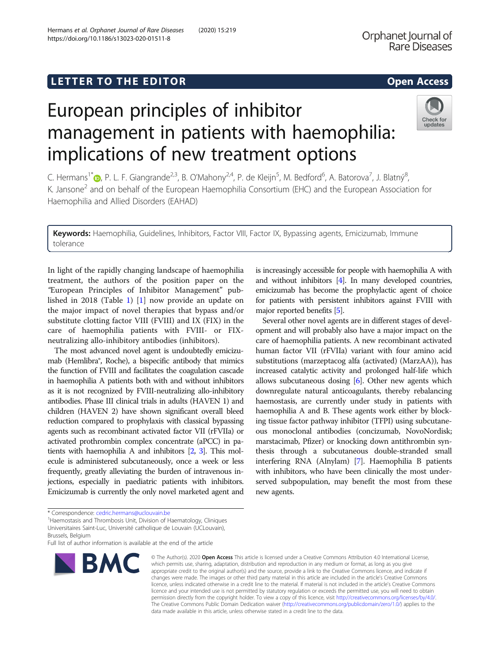# LETTER TO THE EDITOR **CONTROLL CONTROLLER TO THE EDITOR** CONTROLLER TO THE SECTION AND THE SECTION OF THE SECTION

https://doi.org/10.1186/s13023-020-01511-8

# European principles of inhibitor management in patients with haemophilia: implications of new treatment options

C. Hermans<sup>1[\\*](http://orcid.org/0000-0001-5429-8437)</sup>®, P. L. F. Giangrande<sup>2,3</sup>, B. O'Mahony<sup>2,4</sup>, P. de Kleijn<sup>5</sup>, M. Bedford<sup>6</sup>, A. Batorova<sup>7</sup>, J. Blatný<sup>8</sup> , K. Jansone<sup>2</sup> and on behalf of the European Haemophilia Consortium (EHC) and the European Association for Haemophilia and Allied Disorders (EAHAD)

Keywords: Haemophilia, Guidelines, Inhibitors, Factor VIII, Factor IX, Bypassing agents, Emicizumab, Immune tolerance

In light of the rapidly changing landscape of haemophilia treatment, the authors of the position paper on the "European Principles of Inhibitor Management" published in 2018 (Table [1\)](#page-1-0) [[1\]](#page-3-0) now provide an update on the major impact of novel therapies that bypass and/or substitute clotting factor VIII (FVIII) and IX (FIX) in the care of haemophilia patients with FVIII- or FIXneutralizing allo-inhibitory antibodies (inhibitors).

The most advanced novel agent is undoubtedly emicizumab (Hemlibra®, Roche), a bispecific antibody that mimics the function of FVIII and facilitates the coagulation cascade in haemophilia A patients both with and without inhibitors as it is not recognized by FVIII-neutralizing allo-inhibitory antibodies. Phase III clinical trials in adults (HAVEN 1) and children (HAVEN 2) have shown significant overall bleed reduction compared to prophylaxis with classical bypassing agents such as recombinant activated factor VII (rFVIIa) or activated prothrombin complex concentrate (aPCC) in patients with haemophilia A and inhibitors [[2](#page-3-0), [3\]](#page-3-0). This molecule is administered subcutaneously, once a week or less frequently, greatly alleviating the burden of intravenous injections, especially in paediatric patients with inhibitors. Emicizumab is currently the only novel marketed agent and is increasingly accessible for people with haemophilia A with and without inhibitors [\[4\]](#page-3-0). In many developed countries, emicizumab has become the prophylactic agent of choice for patients with persistent inhibitors against FVIII with major reported benefits [[5](#page-3-0)].

Several other novel agents are in different stages of development and will probably also have a major impact on the care of haemophilia patients. A new recombinant activated human factor VII (rFVIIa) variant with four amino acid substitutions (marzeptacog alfa (activated) (MarzAA)), has increased catalytic activity and prolonged half-life which allows subcutaneous dosing [\[6\]](#page-3-0). Other new agents which downregulate natural anticoagulants, thereby rebalancing haemostasis, are currently under study in patients with haemophilia A and B. These agents work either by blocking tissue factor pathway inhibitor (TFPI) using subcutaneous monoclonal antibodies (concizumab, NovoNordisk; marstacimab, Pfizer) or knocking down antithrombin synthesis through a subcutaneous double-stranded small interfering RNA (Alnylam) [\[7\]](#page-3-0). Haemophilia B patients with inhibitors, who have been clinically the most underserved subpopulation, may benefit the most from these new agents.

licence and your intended use is not permitted by statutory regulation or exceeds the permitted use, you will need to obtain permission directly from the copyright holder. To view a copy of this licence, visit [http://creativecommons.org/licenses/by/4.0/.](http://creativecommons.org/licenses/by/4.0/) The Creative Commons Public Domain Dedication waiver [\(http://creativecommons.org/publicdomain/zero/1.0/](http://creativecommons.org/publicdomain/zero/1.0/)) applies to the

data made available in this article, unless otherwise stated in a credit line to the data.

<sup>1</sup> Haemostasis and Thrombosis Unit, Division of Haematology, Cliniques

Full list of author information is available at the end of the article





<sup>\*</sup> Correspondence: [cedric.hermans@uclouvain.be](mailto:cedric.hermans@uclouvain.be) <sup>1</sup>

Universitaires Saint-Luc, Université catholique de Louvain (UCLouvain), Brussels, Belgium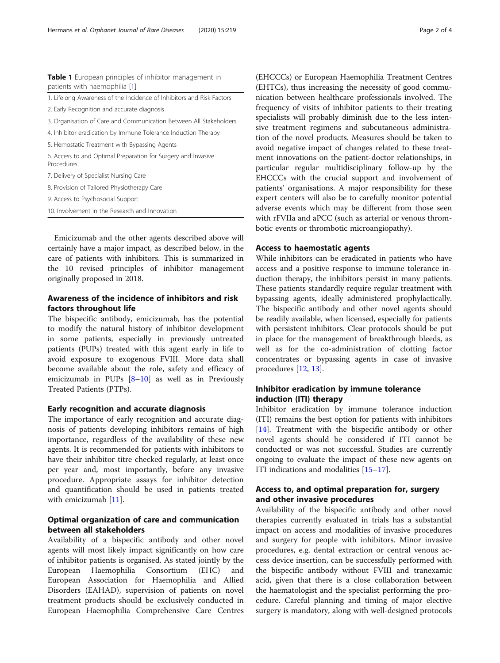<span id="page-1-0"></span>

|  |                               |  | Table 1 European principles of inhibitor management in |  |
|--|-------------------------------|--|--------------------------------------------------------|--|
|  | patients with haemophilia [1] |  |                                                        |  |

- 1. Lifelong Awareness of the Incidence of Inhibitors and Risk Factors
- 2. Early Recognition and accurate diagnosis
- 3. Organisation of Care and Communication Between All Stakeholders
- 4. Inhibitor eradication by Immune Tolerance Induction Therapy
- 5. Hemostatic Treatment with Bypassing Agents
- 6. Access to and Optimal Preparation for Surgery and Invasive Procedures
- 7. Delivery of Specialist Nursing Care
- 8. Provision of Tailored Physiotherapy Care
- 9. Access to Psychosocial Support
- 10. Involvement in the Research and Innovation

Emicizumab and the other agents described above will certainly have a major impact, as described below, in the care of patients with inhibitors. This is summarized in the 10 revised principles of inhibitor management originally proposed in 2018.

# Awareness of the incidence of inhibitors and risk factors throughout life

The bispecific antibody, emicizumab, has the potential to modify the natural history of inhibitor development in some patients, especially in previously untreated patients (PUPs) treated with this agent early in life to avoid exposure to exogenous FVIII. More data shall become available about the role, safety and efficacy of emicizumab in PUPs [\[8](#page-3-0)–[10\]](#page-3-0) as well as in Previously Treated Patients (PTPs).

# Early recognition and accurate diagnosis

The importance of early recognition and accurate diagnosis of patients developing inhibitors remains of high importance, regardless of the availability of these new agents. It is recommended for patients with inhibitors to have their inhibitor titre checked regularly, at least once per year and, most importantly, before any invasive procedure. Appropriate assays for inhibitor detection and quantification should be used in patients treated with emicizumab [\[11\]](#page-3-0).

# Optimal organization of care and communication between all stakeholders

Availability of a bispecific antibody and other novel agents will most likely impact significantly on how care of inhibitor patients is organised. As stated jointly by the European Haemophilia Consortium (EHC) and European Association for Haemophilia and Allied Disorders (EAHAD), supervision of patients on novel treatment products should be exclusively conducted in European Haemophilia Comprehensive Care Centres

(EHCCCs) or European Haemophilia Treatment Centres (EHTCs), thus increasing the necessity of good communication between healthcare professionals involved. The frequency of visits of inhibitor patients to their treating specialists will probably diminish due to the less intensive treatment regimens and subcutaneous administration of the novel products. Measures should be taken to avoid negative impact of changes related to these treatment innovations on the patient-doctor relationships, in particular regular multidisciplinary follow-up by the EHCCCs with the crucial support and involvement of patients' organisations. A major responsibility for these expert centers will also be to carefully monitor potential adverse events which may be different from those seen with rFVIIa and aPCC (such as arterial or venous thrombotic events or thrombotic microangiopathy).

### Access to haemostatic agents

While inhibitors can be eradicated in patients who have access and a positive response to immune tolerance induction therapy, the inhibitors persist in many patients. These patients standardly require regular treatment with bypassing agents, ideally administered prophylactically. The bispecific antibody and other novel agents should be readily available, when licensed, especially for patients with persistent inhibitors. Clear protocols should be put in place for the management of breakthrough bleeds, as well as for the co-administration of clotting factor concentrates or bypassing agents in case of invasive procedures [\[12,](#page-3-0) [13\]](#page-3-0).

# Inhibitor eradication by immune tolerance induction (ITI) therapy

Inhibitor eradication by immune tolerance induction (ITI) remains the best option for patients with inhibitors [[14\]](#page-3-0). Treatment with the bispecific antibody or other novel agents should be considered if ITI cannot be conducted or was not successful. Studies are currently ongoing to evaluate the impact of these new agents on ITI indications and modalities [\[15](#page-3-0)–[17\]](#page-3-0).

# Access to, and optimal preparation for, surgery and other invasive procedures

Availability of the bispecific antibody and other novel therapies currently evaluated in trials has a substantial impact on access and modalities of invasive procedures and surgery for people with inhibitors. Minor invasive procedures, e.g. dental extraction or central venous access device insertion, can be successfully performed with the bispecific antibody without FVIII and tranexamic acid, given that there is a close collaboration between the haematologist and the specialist performing the procedure. Careful planning and timing of major elective surgery is mandatory, along with well-designed protocols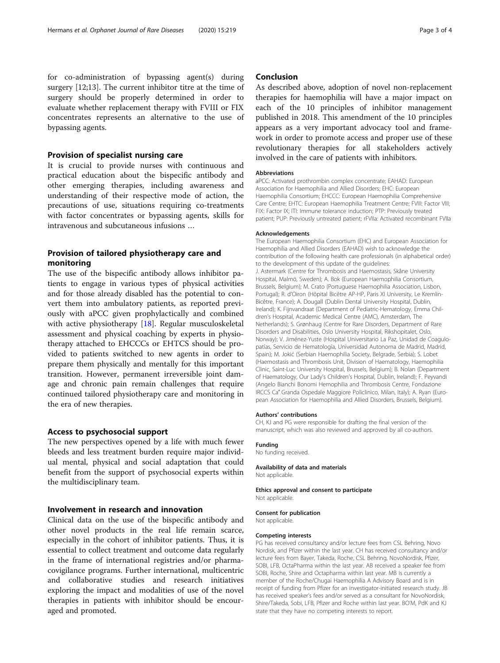for co-administration of bypassing agent(s) during surgery [12;13]. The current inhibitor titre at the time of surgery should be properly determined in order to evaluate whether replacement therapy with FVIII or FIX concentrates represents an alternative to the use of bypassing agents.

# Provision of specialist nursing care

It is crucial to provide nurses with continuous and practical education about the bispecific antibody and other emerging therapies, including awareness and understanding of their respective mode of action, the precautions of use, situations requiring co-treatments with factor concentrates or bypassing agents, skills for intravenous and subcutaneous infusions …

# Provision of tailored physiotherapy care and monitoring

The use of the bispecific antibody allows inhibitor patients to engage in various types of physical activities and for those already disabled has the potential to convert them into ambulatory patients, as reported previously with aPCC given prophylactically and combined with active physiotherapy [[18\]](#page-3-0). Regular musculoskeletal assessment and physical coaching by experts in physiotherapy attached to EHCCCs or EHTCS should be provided to patients switched to new agents in order to prepare them physically and mentally for this important transition. However, permanent irreversible joint damage and chronic pain remain challenges that require continued tailored physiotherapy care and monitoring in the era of new therapies.

# Access to psychosocial support

The new perspectives opened by a life with much fewer bleeds and less treatment burden require major individual mental, physical and social adaptation that could benefit from the support of psychosocial experts within the multidisciplinary team.

# Involvement in research and innovation

Clinical data on the use of the bispecific antibody and other novel products in the real life remain scarce, especially in the cohort of inhibitor patients. Thus, it is essential to collect treatment and outcome data regularly in the frame of international registries and/or pharmacovigilance programs. Further international, multicentric and collaborative studies and research initiatives exploring the impact and modalities of use of the novel therapies in patients with inhibitor should be encouraged and promoted.

# Conclusion

As described above, adoption of novel non-replacement therapies for haemophilia will have a major impact on each of the 10 principles of inhibitor management published in 2018. This amendment of the 10 principles appears as a very important advocacy tool and framework in order to promote access and proper use of these revolutionary therapies for all stakeholders actively involved in the care of patients with inhibitors.

#### Abbreviations

aPCC: Activated prothrombin complex concentrate; EAHAD: European Association for Haemophilia and Allied Disorders; EHC: European Haemophilia Consortium; EHCCC: European Haemophilia Comprehensive Care Centre; EHTC: European Haemophilia Treatment Centre; FVIII: Factor VIII; FIX: Factor IX; ITI: Immune tolerance induction; PTP: Previously treated patient; PUP: Previously untreated patient; rFVIIa: Activated recombinant FVIIa

#### Acknowledgements

The European Haemophilia Consortium (EHC) and European Association for Haemophilia and Allied Disorders (EAHAD) wish to acknowledge the contribution of the following health care professionals (in alphabetical order) to the development of this update of the guidelines: J. Astermark (Centre for Thrombosis and Haemostasis, Skåne University Hospital, Malmö, Sweden); A. Bok (European Haemophilia Consortium, Brussels, Belgium); M. Crato (Portuguese Haemophilia Association, Lisbon, Portugal); R. d'Oiron (Hôpital Bicêtre AP-HP, Paris XI University, Le Kremlin-Bicêtre, France); A. Dougall (Dublin Dental University Hospital, Dublin, Ireland); K. Fijnvandraat (Department of Pediatric-Hematology, Emma Children's Hospital, Academic Medical Centre (AMC), Amsterdam, The Netherlands); S. Grønhaug (Centre for Rare Disorders, Department of Rare Disorders and Disabilities, Oslo University Hospital, Rikshopitalet, Oslo, Norway); V. Jiménez-Yuste (Hospital Universitario La Paz, Unidad de Coagulopatías, Servicio de Hematología, Universidad Autonoma de Madrid, Madrid, Spain); M. Jokić (Serbian Haemophilia Society, Belgrade, Serbia); S. Lobet (Haemostasis and Thrombosis Unit, Division of Haematology, Haemophilia Clinic, Saint-Luc University Hospital, Brussels, Belgium); B. Nolan (Department of Haematology, Our Lady's Children's Hospital, Dublin, Ireland); F. Peyvandi (Angelo Bianchi Bonomi Hemophilia and Thrombosis Centre, Fondazione IRCCS Ca′ Granda Ospedale Maggiore Policlinico, Milan, Italy); A. Ryan (European Association for Haemophilia and Allied Disorders, Brussels, Belgium).

#### Authors' contributions

CH, KJ and PG were responsible for drafting the final version of the manuscript, which was also reviewed and approved by all co-authors.

Funding

No funding received.

Availability of data and materials

Not applicable.

Ethics approval and consent to participate Not applicable.

Consent for publication

Not applicable.

#### Competing interests

PG has received consultancy and/or lecture fees from CSL Behring, Novo Nordisk, and Pfizer within the last year. CH has received consultancy and/or lecture fees from Bayer, Takeda, Roche, CSL Behring, NovoNordisk, Pfizer, SOBI, LFB, OctaPharma within the last year. AB received a speaker fee from SOBI, Roche, Shire and Octapharma within last year. MB is currently a member of the Roche/Chugai Haemophilia A Advisory Board and is in receipt of funding from Pfizer for an investigator-initiated research study. JB has received speaker's fees and/or served as a consultant for NovoNordisk, Shire/Takeda, Sobi, LFB, Pfizer and Roche within last year. BO'M, PdK and KJ state that they have no competing interests to report.